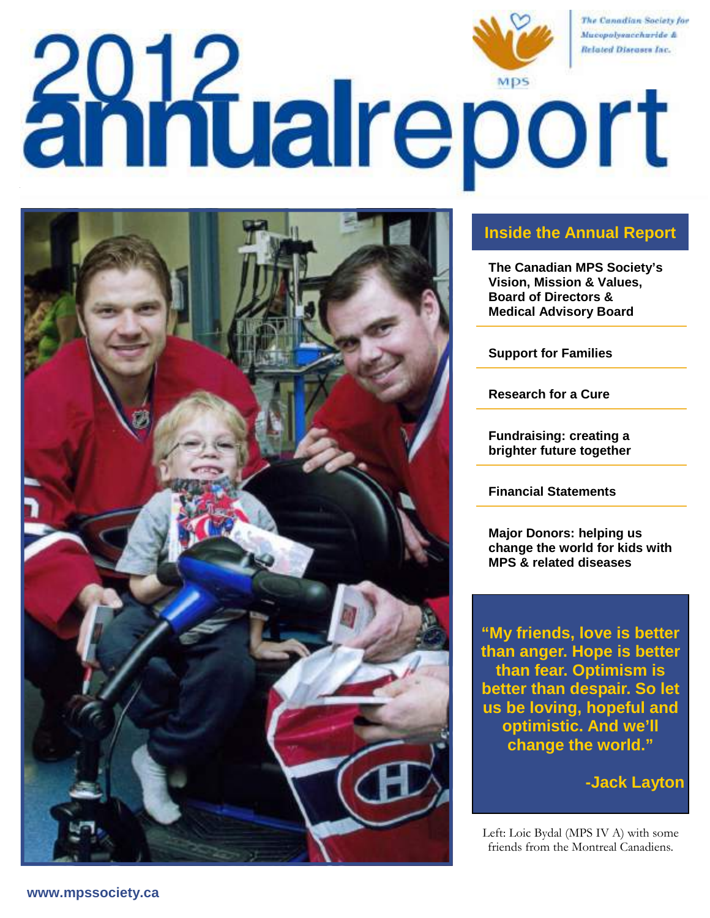# The Canadian Society for Mucopolysuccharide & **Zotal Schoort**



## **Inside the Annual Report**

**The Canadian MPS Society's Vision, Mission & Values, Board of Directors & Medical Advisory Board** 

**Support for Families** 

**Research for a Cure** 

**Fundraising: creating a brighter future together** 

**Financial Statements** 

**Major Donors: helping us change the world for kids with MPS & related diseases** 

**"My friends, love is better than anger. Hope is better than fear. Optimism is better than despair. So let us be loving, hopeful and optimistic. And we'll change the world."** 

**-Jack Layton** 

Left: Loic Bydal (MPS IV A) with some friends from the Montreal Canadiens.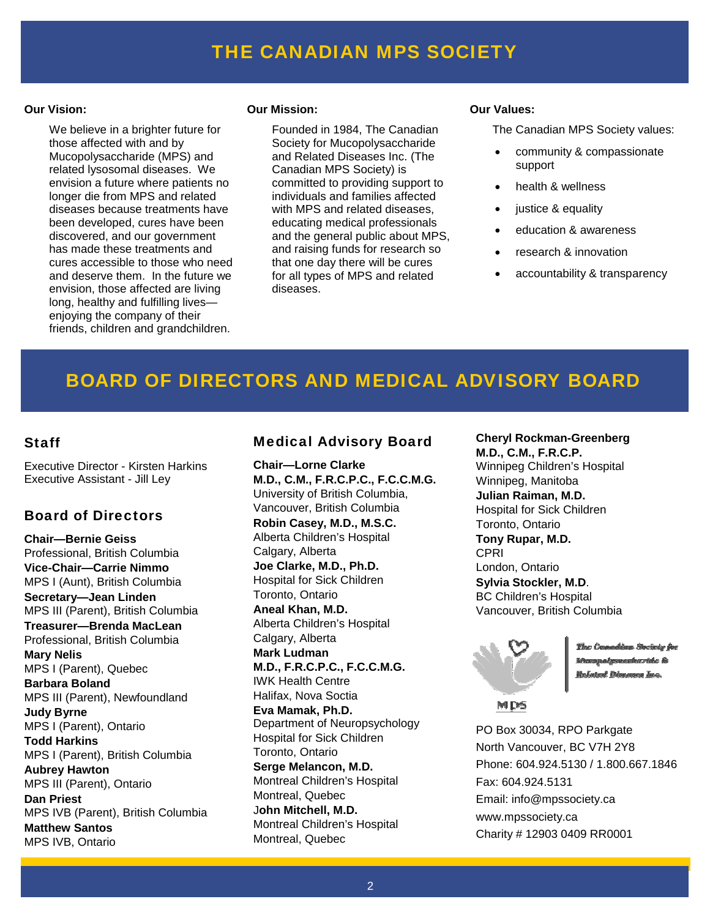## FINANCIAL STATEMENT STATEMENT STATEMENT IN THE CANADIAN MPS SOCIETY And  $\Gamma$

#### **Our Vision:**

 We believe in a brighter future for those affected with and by Mucopolysaccharide (MPS) and related lysosomal diseases. We envision a future where patients no longer die from MPS and related diseases because treatments have been developed, cures have been discovered, and our government has made these treatments and cures accessible to those who need and deserve them. In the future we envision, those affected are living long, healthy and fulfilling lives enjoying the company of their friends, children and grandchildren.

#### **Our Mission:**

 Founded in 1984, The Canadian Society for Mucopolysaccharide and Related Diseases Inc. (The Canadian MPS Society) is committed to providing support to individuals and families affected with MPS and related diseases, educating medical professionals and the general public about MPS, and raising funds for research so that one day there will be cures for all types of MPS and related diseases.

#### **Our Values:**

The Canadian MPS Society values:

- community & compassionate support
- health & wellness
- justice & equality
- education & awareness
- research & innovation
- accountability & transparency

## BOARD OF DIRECTORS AND MEDICAL ADVISORY BOARD

## Staff

Executive Director - Kirsten Harkins Executive Assistant - Jill Ley

### Board of Directors

**Chair—Bernie Geiss** Professional, British Columbia **Vice-Chair—Carrie Nimmo** MPS I (Aunt), British Columbia **Secretary—Jean Linden** MPS III (Parent), British Columbia **Treasurer—Brenda MacLean** Professional, British Columbia **Mary Nelis**  MPS I (Parent), Quebec **Barbara Boland** MPS III (Parent), Newfoundland **Judy Byrne**  MPS I (Parent), Ontario **Todd Harkins**  MPS I (Parent), British Columbia **Aubrey Hawton**  MPS III (Parent), Ontario **Dan Priest**  MPS IVB (Parent), British Columbia **Matthew Santos**  MPS IVB, Ontario

## Medical Advisory Board

**Chair—Lorne Clarke M.D., C.M., F.R.C.P.C., F.C.C.M.G.**  University of British Columbia, Vancouver, British Columbia **Robin Casey, M.D., M.S.C.**  Alberta Children's Hospital Calgary, Alberta **Joe Clarke, M.D., Ph.D.**  Hospital for Sick Children Toronto, Ontario **Aneal Khan, M.D.**  Alberta Children's Hospital Calgary, Alberta **Mark Ludman M.D., F.R.C.P.C., F.C.C.M.G.**  IWK Health Centre Halifax, Nova Soctia **Eva Mamak, Ph.D.**  Department of Neuropsychology Hospital for Sick Children Toronto, Ontario **Serge Melancon, M.D.**  Montreal Children's Hospital Montreal, Quebec J**ohn Mitchell, M.D.**  Montreal Children's Hospital Montreal, Quebec

**Cheryl Rockman-Greenberg M.D., C.M., F.R.C.P.**  Winnipeg Children's Hospital Winnipeg, Manitoba **Julian Raiman, M.D.**  Hospital for Sick Children Toronto, Ontario **Tony Rupar, M.D. CPRI** London, Ontario **Sylvia Stockler, M.D**. BC Children's Hospital Vancouver, British Columbia



Wesman*bementerride* & **Malated Disna** 

MDS

PO Box 30034, RPO Parkgate North Vancouver, BC V7H 2Y8 Phone: 604.924.5130 / 1.800.667.1846 Fax: 604.924.5131 Email: info@mpssociety.ca www.mpssociety.ca Charity # 12903 0409 RR0001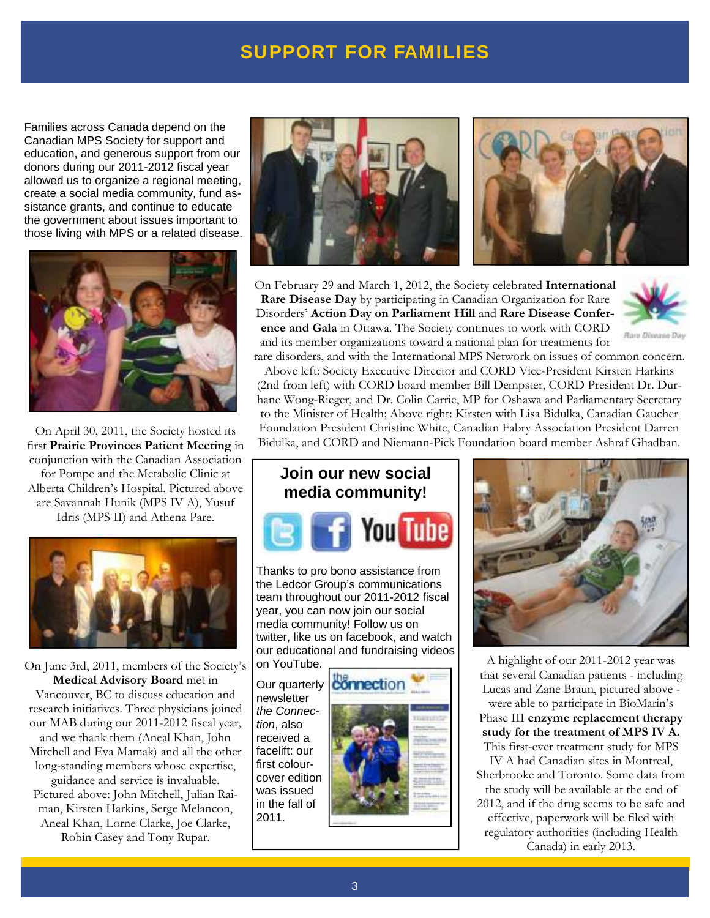## **SUPPORT FOR FAMILIES**

Families across Canada depend on the Canadian MPS Society for support and education, and generous support from our donors during our 2011-2012 fiscal year allowed us to organize a regional meeting, create a social media community, fund assistance grants, and continue to educate the government about issues important to those living with MPS or a related disease.



On April 30, 2011, the Society hosted its first **Prairie Provinces Patient Meeting** in conjunction with the Canadian Association for Pompe and the Metabolic Clinic at Alberta Children's Hospital. Pictured above are Savannah Hunik (MPS IV A), Yusuf Idris (MPS II) and Athena Pare.



On June 3rd, 2011, members of the Society's **Medical Advisory Board** met in Vancouver, BC to discuss education and research initiatives. Three physicians joined our MAB during our 2011-2012 fiscal year, and we thank them (Aneal Khan, John Mitchell and Eva Mamak) and all the other long-standing members whose expertise, guidance and service is invaluable. Pictured above: John Mitchell, Julian Raiman, Kirsten Harkins, Serge Melancon, Aneal Khan, Lorne Clarke, Joe Clarke, Robin Casey and Tony Rupar.



On February 29 and March 1, 2012, the Society celebrated **International Rare Disease Day** by participating in Canadian Organization for Rare Disorders' **Action Day on Parliament Hill** and **Rare Disease Conference and Gala** in Ottawa. The Society continues to work with CORD and its member organizations toward a national plan for treatments for



rare disorders, and with the International MPS Network on issues of common concern. Above left: Society Executive Director and CORD Vice-President Kirsten Harkins

(2nd from left) with CORD board member Bill Dempster, CORD President Dr. Durhane Wong-Rieger, and Dr. Colin Carrie, MP for Oshawa and Parliamentary Secretary to the Minister of Health; Above right: Kirsten with Lisa Bidulka, Canadian Gaucher Foundation President Christine White, Canadian Fabry Association President Darren Bidulka, and CORD and Niemann-Pick Foundation board member Ashraf Ghadban.



Thanks to pro bono assistance from the Ledcor Group's communications team throughout our 2011-2012 fiscal year, you can now join our social media community! Follow us on twitter, like us on facebook, and watch our educational and fundraising videos on YouTube.

Our quarterly newsletter the Connection, also received a facelift: our first colourcover edition was issued in the fall of 2011.





A highlight of our 2011-2012 year was that several Canadian patients - including Lucas and Zane Braun, pictured above were able to participate in BioMarin's

Phase III **enzyme replacement therapy study for the treatment of MPS IV A.**  This first-ever treatment study for MPS

IV A had Canadian sites in Montreal, Sherbrooke and Toronto. Some data from the study will be available at the end of 2012, and if the drug seems to be safe and effective, paperwork will be filed with regulatory authorities (including Health Canada) in early 2013.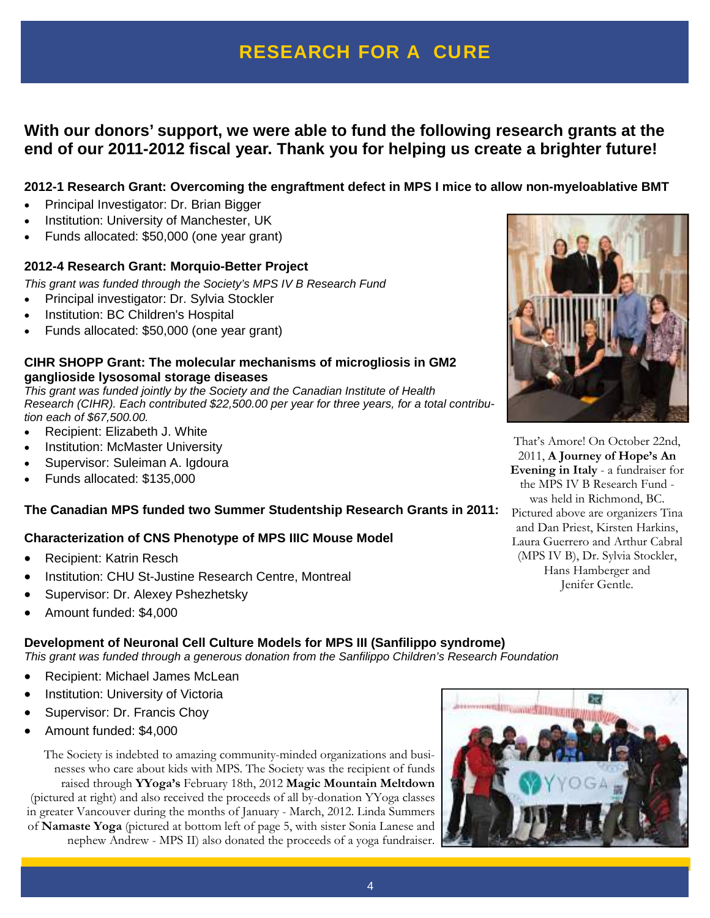# **RESEARCH FOR A CURE**

## **With our donors' support, we were able to fund the following research grants at the end of our 2011-2012 fiscal year. Thank you for helping us create a brighter future!**

## **2012-1 Research Grant: Overcoming the engraftment defect in MPS I mice to allow non-myeloablative BMT**

- Principal Investigator: Dr. Brian Bigger
- Institution: University of Manchester, UK
- Funds allocated: \$50,000 (one year grant)

#### **2012-4 Research Grant: Morquio-Better Project**

This grant was funded through the Society's MPS IV B Research Fund

- Principal investigator: Dr. Sylvia Stockler
- Institution: BC Children's Hospital
- Funds allocated: \$50,000 (one year grant)

#### **CIHR SHOPP Grant: The molecular mechanisms of microgliosis in GM2 ganglioside lysosomal storage diseases**

This grant was funded jointly by the Society and the Canadian Institute of Health Research (CIHR). Each contributed \$22,500.00 per year for three years, for a total contribution each of \$67,500.00.

- Recipient: Elizabeth J. White
- Institution: McMaster University
- Supervisor: Suleiman A. Igdoura
- Funds allocated: \$135,000

#### **The Canadian MPS funded two Summer Studentship Research Grants in 2011:**

#### **Characterization of CNS Phenotype of MPS IIIC Mouse Model**

- Recipient: Katrin Resch
- Institution: CHU St-Justine Research Centre, Montreal
- Supervisor: Dr. Alexey Pshezhetsky
- Amount funded: \$4,000

#### **Development of Neuronal Cell Culture Models for MPS III (Sanfilippo syndrome)**

This grant was funded through a generous donation from the Sanfilippo Children's Research Foundation

- Recipient: Michael James McLean
- Institution: University of Victoria
- Supervisor: Dr. Francis Choy
- Amount funded: \$4,000

The Society is indebted to amazing community-minded organizations and businesses who care about kids with MPS. The Society was the recipient of funds raised through **YYoga's** February 18th, 2012 **Magic Mountain Meltdown**  (pictured at right) and also received the proceeds of all by-donation YYoga classes in greater Vancouver during the months of January - March, 2012. Linda Summers of **Namaste Yoga** (pictured at bottom left of page 5, with sister Sonia Lanese and nephew Andrew - MPS II) also donated the proceeds of a yoga fundraiser.





That's Amore! On October 22nd, 2011, **A Journey of Hope's An Evening in Italy** - a fundraiser for the MPS IV B Research Fund was held in Richmond, BC. Pictured above are organizers Tina and Dan Priest, Kirsten Harkins, Laura Guerrero and Arthur Cabral (MPS IV B), Dr. Sylvia Stockler, Hans Hamberger and Jenifer Gentle.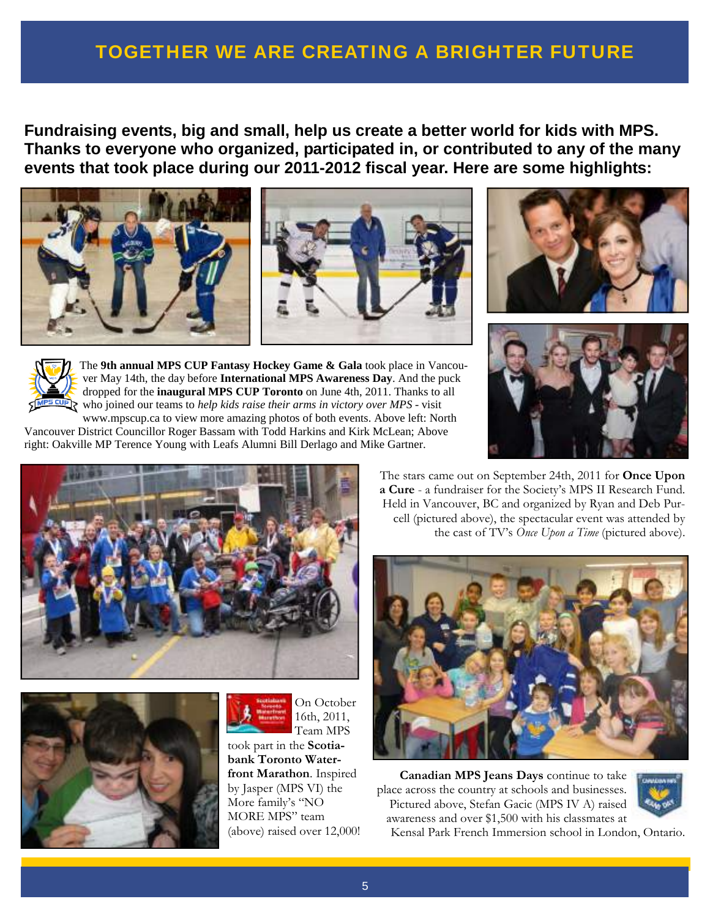# TOGETHER WE ARE CREATING A BRIGHTER FUTURE

**Fundraising events, big and small, help us create a better world for kids with MPS. Thanks to everyone who organized, participated in, or contributed to any of the many events that took place during our 2011-2012 fiscal year. Here are some highlights:** 









The **9th annual MPS CUP Fantasy Hockey Game & Gala** took place in Vancouver May 14th, the day before **International MPS Awareness Day**. And the puck dropped for the **inaugural MPS CUP Toronto** on June 4th, 2011. Thanks to all who joined our teams to *help kids raise their arms in victory over MPS* - visit www.mpscup.ca to view more amazing photos of both events. Above left: North

Vancouver District Councillor Roger Bassam with Todd Harkins and Kirk McLean; Above right: Oakville MP Terence Young with Leafs Alumni Bill Derlago and Mike Gartner.







On October 16th, 2011, Team MPS took part in the **Scotiabank Toronto Waterfront Marathon**. Inspired by Jasper (MPS VI) the

More family's "NO MORE MPS" team (above) raised over 12,000! The stars came out on September 24th, 2011 for **Once Upon a Cure** - a fundraiser for the Society's MPS II Research Fund. Held in Vancouver, BC and organized by Ryan and Deb Purcell (pictured above), the spectacular event was attended by the cast of TV's *Once Upon a Time* (pictured above).



**Canadian MPS Jeans Days** continue to take place across the country at schools and businesses. Pictured above, Stefan Gacic (MPS IV A) raised awareness and over \$1,500 with his classmates at



Kensal Park French Immersion school in London, Ontario.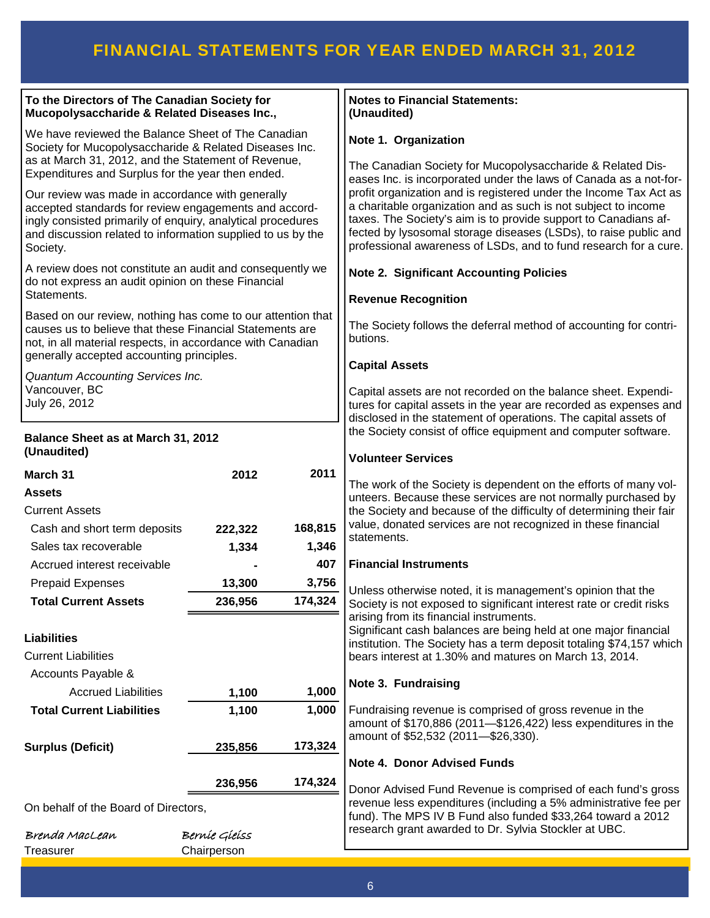# FINANCIAL STATEMENTS FOR YEAR ENDED MARCH 31, 2012

| To the Directors of The Canadian Society for<br>Mucopolysaccharide & Related Diseases Inc.,                                                                                                                                                         |               |         | <b>Notes to Financial Statements:</b><br>(Unaudited)                                                                                                                                                                                                                                                                                           |  |
|-----------------------------------------------------------------------------------------------------------------------------------------------------------------------------------------------------------------------------------------------------|---------------|---------|------------------------------------------------------------------------------------------------------------------------------------------------------------------------------------------------------------------------------------------------------------------------------------------------------------------------------------------------|--|
| We have reviewed the Balance Sheet of The Canadian<br>Society for Mucopolysaccharide & Related Diseases Inc.<br>as at March 31, 2012, and the Statement of Revenue,                                                                                 |               |         | Note 1. Organization                                                                                                                                                                                                                                                                                                                           |  |
| Expenditures and Surplus for the year then ended.                                                                                                                                                                                                   |               |         | The Canadian Society for Mucopolysaccharide & Related Dis-<br>eases Inc. is incorporated under the laws of Canada as a not-for-                                                                                                                                                                                                                |  |
| Our review was made in accordance with generally<br>accepted standards for review engagements and accord-<br>ingly consisted primarily of enquiry, analytical procedures<br>and discussion related to information supplied to us by the<br>Society. |               |         | profit organization and is registered under the Income Tax Act as<br>a charitable organization and as such is not subject to income<br>taxes. The Society's aim is to provide support to Canadians af-<br>fected by lysosomal storage diseases (LSDs), to raise public and<br>professional awareness of LSDs, and to fund research for a cure. |  |
| A review does not constitute an audit and consequently we<br>do not express an audit opinion on these Financial                                                                                                                                     |               |         | <b>Note 2. Significant Accounting Policies</b>                                                                                                                                                                                                                                                                                                 |  |
| Statements.                                                                                                                                                                                                                                         |               |         | <b>Revenue Recognition</b>                                                                                                                                                                                                                                                                                                                     |  |
| Based on our review, nothing has come to our attention that<br>causes us to believe that these Financial Statements are<br>not, in all material respects, in accordance with Canadian                                                               |               |         | The Society follows the deferral method of accounting for contri-<br>butions.                                                                                                                                                                                                                                                                  |  |
| generally accepted accounting principles.                                                                                                                                                                                                           |               |         | <b>Capital Assets</b>                                                                                                                                                                                                                                                                                                                          |  |
| Quantum Accounting Services Inc.<br>Vancouver, BC<br>July 26, 2012                                                                                                                                                                                  |               |         | Capital assets are not recorded on the balance sheet. Expendi-<br>tures for capital assets in the year are recorded as expenses and<br>disclosed in the statement of operations. The capital assets of<br>the Society consist of office equipment and computer software.<br><b>Volunteer Services</b>                                          |  |
| Balance Sheet as at March 31, 2012<br>(Unaudited)                                                                                                                                                                                                   |               |         |                                                                                                                                                                                                                                                                                                                                                |  |
| March 31                                                                                                                                                                                                                                            | 2012          | 2011    |                                                                                                                                                                                                                                                                                                                                                |  |
| <b>Assets</b>                                                                                                                                                                                                                                       |               |         | The work of the Society is dependent on the efforts of many vol-<br>unteers. Because these services are not normally purchased by                                                                                                                                                                                                              |  |
| <b>Current Assets</b>                                                                                                                                                                                                                               |               |         | the Society and because of the difficulty of determining their fair                                                                                                                                                                                                                                                                            |  |
| Cash and short term deposits                                                                                                                                                                                                                        | 222,322       | 168,815 | value, donated services are not recognized in these financial                                                                                                                                                                                                                                                                                  |  |
| Sales tax recoverable                                                                                                                                                                                                                               | 1,334         | 1,346   | statements.                                                                                                                                                                                                                                                                                                                                    |  |
| Accrued interest receivable                                                                                                                                                                                                                         |               | 407     | <b>Financial Instruments</b>                                                                                                                                                                                                                                                                                                                   |  |
| <b>Prepaid Expenses</b>                                                                                                                                                                                                                             | 13,300        | 3,756   | Unless otherwise noted, it is management's opinion that the                                                                                                                                                                                                                                                                                    |  |
| <b>Total Current Assets</b>                                                                                                                                                                                                                         | 236,956       | 174,324 | Society is not exposed to significant interest rate or credit risks                                                                                                                                                                                                                                                                            |  |
|                                                                                                                                                                                                                                                     |               |         | arising from its financial instruments.                                                                                                                                                                                                                                                                                                        |  |
| <b>Liabilities</b>                                                                                                                                                                                                                                  |               |         | Significant cash balances are being held at one major financial<br>institution. The Society has a term deposit totaling \$74,157 which                                                                                                                                                                                                         |  |
| <b>Current Liabilities</b>                                                                                                                                                                                                                          |               |         | bears interest at 1.30% and matures on March 13, 2014.                                                                                                                                                                                                                                                                                         |  |
| Accounts Payable &                                                                                                                                                                                                                                  |               |         |                                                                                                                                                                                                                                                                                                                                                |  |
| <b>Accrued Liabilities</b>                                                                                                                                                                                                                          | 1,100         | 1,000   | Note 3. Fundraising                                                                                                                                                                                                                                                                                                                            |  |
| <b>Total Current Liabilities</b>                                                                                                                                                                                                                    | 1,100         | 1,000   | Fundraising revenue is comprised of gross revenue in the<br>amount of \$170,886 (2011-\$126,422) less expenditures in the<br>amount of \$52,532 (2011-\$26,330).<br><b>Note 4. Donor Advised Funds</b>                                                                                                                                         |  |
| <b>Surplus (Deficit)</b>                                                                                                                                                                                                                            | 235,856       | 173,324 |                                                                                                                                                                                                                                                                                                                                                |  |
|                                                                                                                                                                                                                                                     | 236,956       | 174,324 |                                                                                                                                                                                                                                                                                                                                                |  |
| On behalf of the Board of Directors,                                                                                                                                                                                                                |               |         | Donor Advised Fund Revenue is comprised of each fund's gross<br>revenue less expenditures (including a 5% administrative fee per<br>fund). The MPS IV B Fund also funded \$33,264 toward a 2012                                                                                                                                                |  |
| Brenda MacLean                                                                                                                                                                                                                                      | Berníe Gíeiss |         | research grant awarded to Dr. Sylvia Stockler at UBC.                                                                                                                                                                                                                                                                                          |  |
| Treasurer                                                                                                                                                                                                                                           | Chairperson   |         |                                                                                                                                                                                                                                                                                                                                                |  |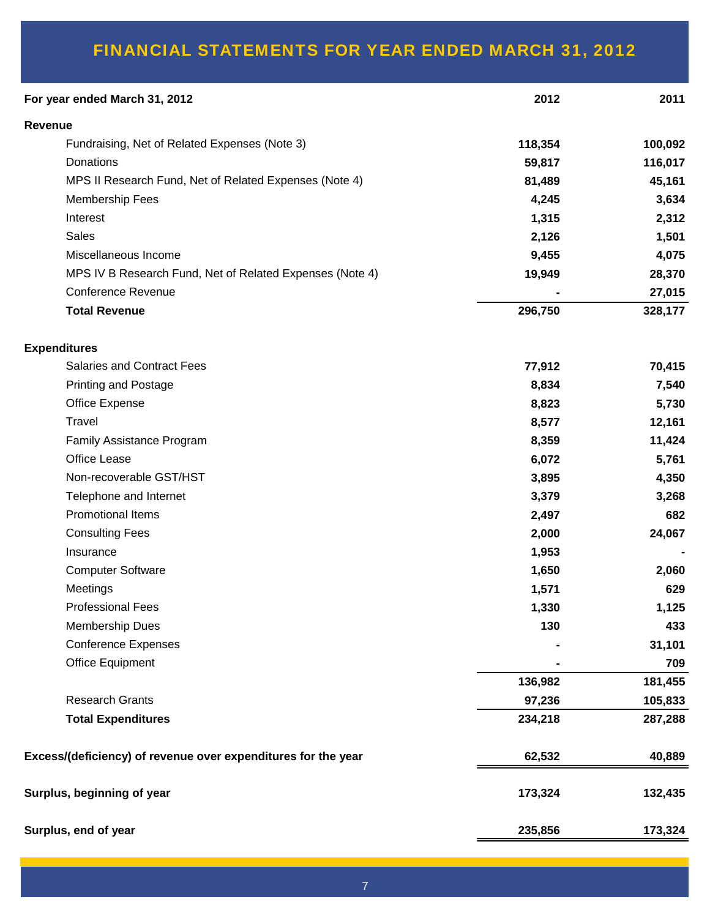# FINANCIAL STATEMENTS FOR YEAR ENDED MARCH 31, 2012

| For year ended March 31, 2012                                 | 2012    | 2011    |
|---------------------------------------------------------------|---------|---------|
| Revenue                                                       |         |         |
| Fundraising, Net of Related Expenses (Note 3)                 | 118,354 | 100,092 |
| Donations                                                     | 59,817  | 116,017 |
| MPS II Research Fund, Net of Related Expenses (Note 4)        | 81,489  | 45,161  |
| <b>Membership Fees</b>                                        | 4,245   | 3,634   |
| Interest                                                      | 1,315   | 2,312   |
| <b>Sales</b>                                                  | 2,126   | 1,501   |
| Miscellaneous Income                                          | 9,455   | 4,075   |
| MPS IV B Research Fund, Net of Related Expenses (Note 4)      | 19,949  | 28,370  |
| <b>Conference Revenue</b>                                     |         | 27,015  |
| <b>Total Revenue</b>                                          | 296,750 | 328,177 |
| <b>Expenditures</b>                                           |         |         |
| <b>Salaries and Contract Fees</b>                             | 77,912  | 70,415  |
| <b>Printing and Postage</b>                                   | 8,834   | 7,540   |
| Office Expense                                                | 8,823   | 5,730   |
| <b>Travel</b>                                                 | 8,577   | 12,161  |
| Family Assistance Program                                     | 8,359   | 11,424  |
| Office Lease                                                  | 6,072   | 5,761   |
| Non-recoverable GST/HST                                       | 3,895   | 4,350   |
| Telephone and Internet                                        | 3,379   | 3,268   |
| <b>Promotional Items</b>                                      | 2,497   | 682     |
| <b>Consulting Fees</b>                                        | 2,000   | 24,067  |
| Insurance                                                     | 1,953   |         |
| <b>Computer Software</b>                                      | 1,650   | 2,060   |
| Meetings                                                      | 1,571   | 629     |
| <b>Professional Fees</b>                                      | 1,330   | 1,125   |
| <b>Membership Dues</b>                                        | 130     | 433     |
| <b>Conference Expenses</b>                                    |         | 31,101  |
| <b>Office Equipment</b>                                       |         | 709     |
|                                                               | 136,982 | 181,455 |
| <b>Research Grants</b>                                        | 97,236  | 105,833 |
| <b>Total Expenditures</b>                                     | 234,218 | 287,288 |
| Excess/(deficiency) of revenue over expenditures for the year | 62,532  | 40,889  |
| Surplus, beginning of year                                    | 173,324 | 132,435 |
| Surplus, end of year                                          | 235,856 | 173,324 |